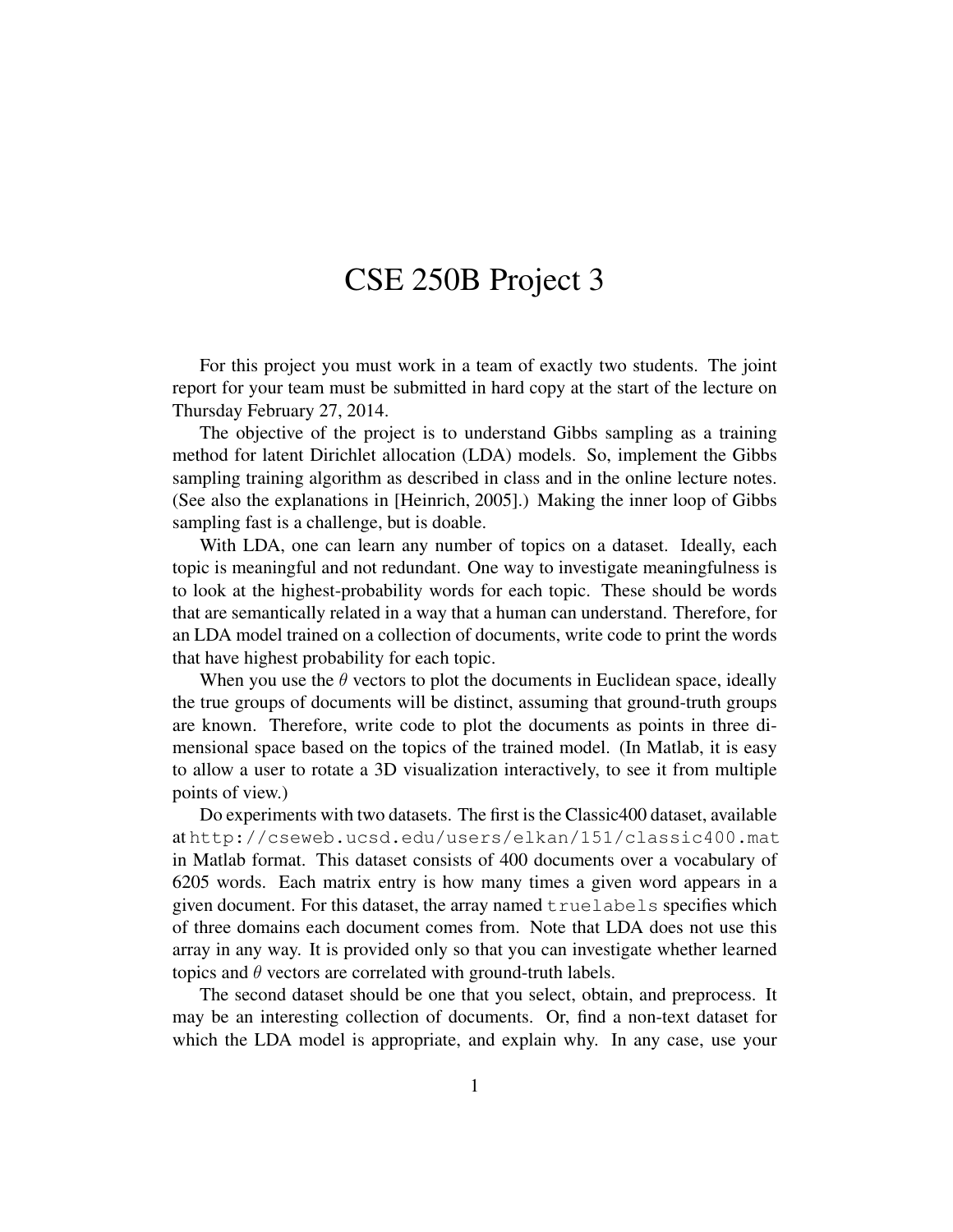## CSE 250B Project 3

For this project you must work in a team of exactly two students. The joint report for your team must be submitted in hard copy at the start of the lecture on Thursday February 27, 2014.

The objective of the project is to understand Gibbs sampling as a training method for latent Dirichlet allocation (LDA) models. So, implement the Gibbs sampling training algorithm as described in class and in the online lecture notes. (See also the explanations in [Heinrich, 2005].) Making the inner loop of Gibbs sampling fast is a challenge, but is doable.

With LDA, one can learn any number of topics on a dataset. Ideally, each topic is meaningful and not redundant. One way to investigate meaningfulness is to look at the highest-probability words for each topic. These should be words that are semantically related in a way that a human can understand. Therefore, for an LDA model trained on a collection of documents, write code to print the words that have highest probability for each topic.

When you use the  $\theta$  vectors to plot the documents in Euclidean space, ideally the true groups of documents will be distinct, assuming that ground-truth groups are known. Therefore, write code to plot the documents as points in three dimensional space based on the topics of the trained model. (In Matlab, it is easy to allow a user to rotate a 3D visualization interactively, to see it from multiple points of view.)

Do experiments with two datasets. The first is the Classic400 dataset, available at http://cseweb.ucsd.edu/users/elkan/151/classic400.mat in Matlab format. This dataset consists of 400 documents over a vocabulary of 6205 words. Each matrix entry is how many times a given word appears in a given document. For this dataset, the array named truelabels specifies which of three domains each document comes from. Note that LDA does not use this array in any way. It is provided only so that you can investigate whether learned topics and  $\theta$  vectors are correlated with ground-truth labels.

The second dataset should be one that you select, obtain, and preprocess. It may be an interesting collection of documents. Or, find a non-text dataset for which the LDA model is appropriate, and explain why. In any case, use your